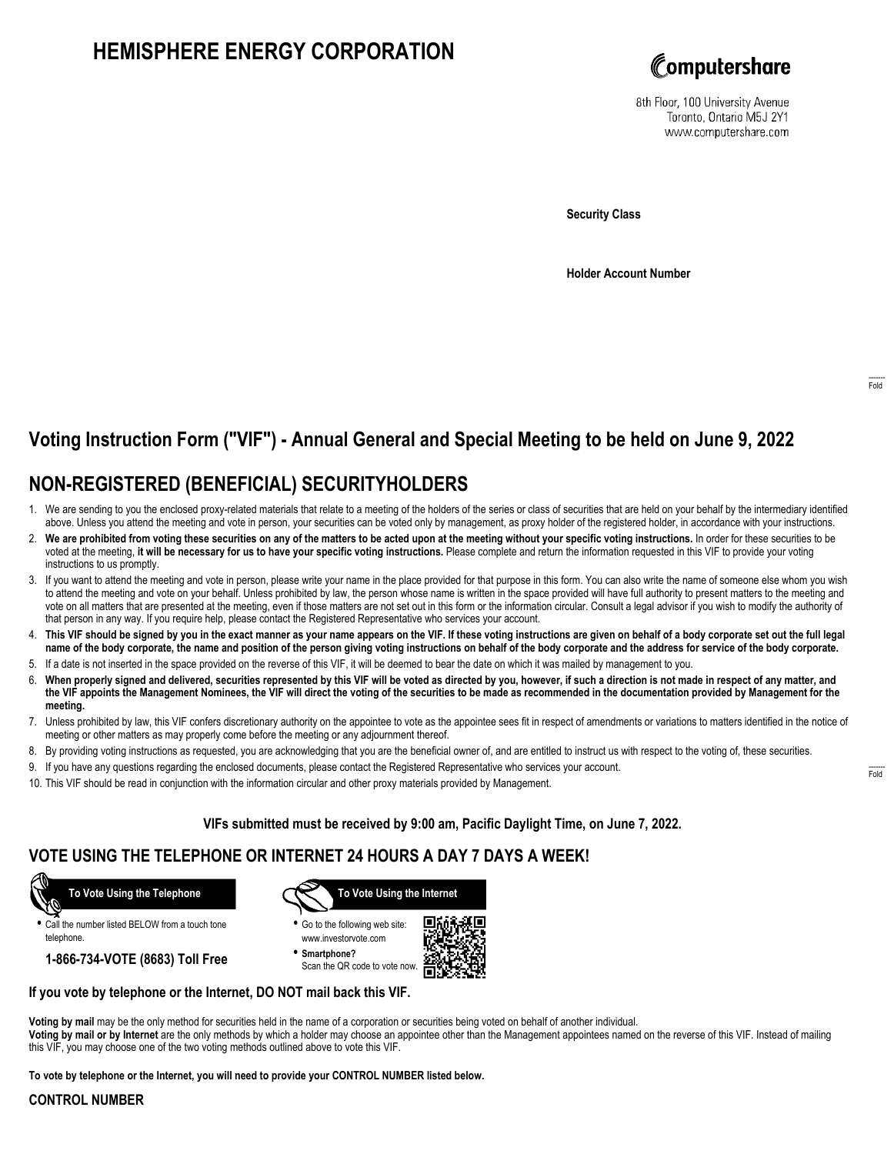# **HEMISPHERE ENERGY CORPORATION**



8th Floor, 100 University Avenue Toronto, Ontario M5J 2Y1 www.computershare.com

**Security Class**

**Holder Account Number**

# **Voting Instruction Form ("VIF") - Annual General and Special Meeting to be held on June 9, 2022**

## **NON-REGISTERED (BENEFICIAL) SECURITYHOLDERS**

- 1. We are sending to you the enclosed proxy-related materials that relate to a meeting of the holders of the series or class of securities that are held on your behalf by the intermediary identified above. Unless you attend the meeting and vote in person, your securities can be voted only by management, as proxy holder of the registered holder, in accordance with your instructions.
- 2. **We are prohibited from voting these securities on any of the matters to be acted upon at the meeting without your specific voting instructions.** In order for these securities to be voted at the meeting, **it will be necessary for us to have your specific voting instructions.** Please complete and return the information requested in this VIF to provide your voting instructions to us promptly.
- 3. If you want to attend the meeting and vote in person, please write your name in the place provided for that purpose in this form. You can also write the name of someone else whom you wish to attend the meeting and vote on your behalf. Unless prohibited by law, the person whose name is written in the space provided will have full authority to present matters to the meeting and vote on all matters that are presented at the meeting, even if those matters are not set out in this form or the information circular. Consult a legal advisor if you wish to modify the authority of that person in any way. If you require help, please contact the Registered Representative who services your account.
- 4. **This VIF should be signed by you in the exact manner as your name appears on the VIF. If these voting instructions are given on behalf of a body corporate set out the full legal name of the body corporate, the name and position of the person giving voting instructions on behalf of the body corporate and the address for service of the body corporate.**
- 5. If a date is not inserted in the space provided on the reverse of this VIF, it will be deemed to bear the date on which it was mailed by management to you.
- 6. **When properly signed and delivered, securities represented by this VIF will be voted as directed by you, however, if such a direction is not made in respect of any matter, and the VIF appoints the Management Nominees, the VIF will direct the voting of the securities to be made as recommended in the documentation provided by Management for the meeting.**
- 7. Unless prohibited by law, this VIF confers discretionary authority on the appointee to vote as the appointee sees fit in respect of amendments or variations to matters identified in the notice of meeting or other matters as may properly come before the meeting or any adjournment thereof.
- 8. By providing voting instructions as requested, you are acknowledging that you are the beneficial owner of, and are entitled to instruct us with respect to the voting of, these securities.
- 9. If you have any questions regarding the enclosed documents, please contact the Registered Representative who services your account.
- 10. This VIF should be read in conjunction with the information circular and other proxy materials provided by Management.

### **VIFs submitted must be received by 9:00 am, Pacific Daylight Time, on June 7, 2022.**

### **VOTE USING THE TELEPHONE OR INTERNET 24 HOURS A DAY 7 DAYS A WEEK!**



**•** Call the number listed BELOW from a touch tone telephone.

**1-866-734-VOTE (8683) Toll Free**



- **•** Go to the following web site: www.investorvote.com
- **• Smartphone?** Scan the QR code to vote now.



### **If you vote by telephone or the Internet, DO NOT mail back this VIF.**

this VIF, you may choose one of the two voting methods outlined above to vote this VIF.

**Voting by mail** may be the only method for securities held in the name of a corporation or securities being voted on behalf of another individual. **Voting by mail or by Internet** are the only methods by which a holder may choose an appointee other than the Management appointees named on the reverse of this VIF. Instead of mailing

**To vote by telephone or the Internet, you will need to provide your CONTROL NUMBER listed below.**

#### **CONTROL NUMBER**